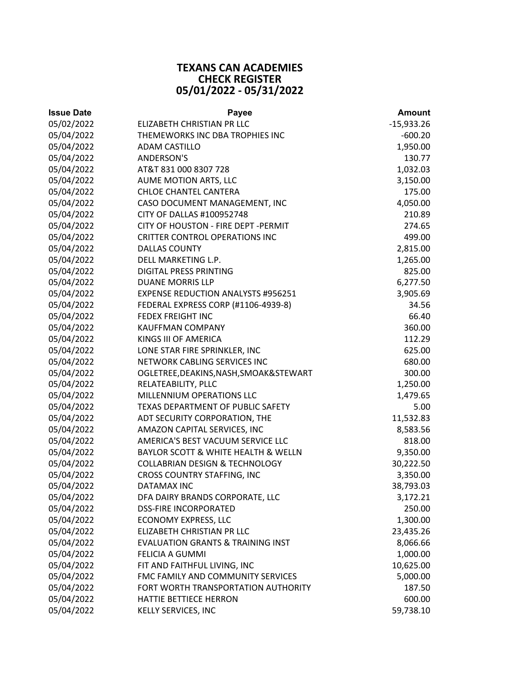## **TEXANS CAN ACADEMIES CHECK REGISTER 05/01/2022 ‐ 05/31/2022**

| <b>Issue Date</b> | Payee                                        | <b>Amount</b> |
|-------------------|----------------------------------------------|---------------|
| 05/02/2022        | ELIZABETH CHRISTIAN PR LLC                   | $-15,933.26$  |
| 05/04/2022        | THEMEWORKS INC DBA TROPHIES INC              | $-600.20$     |
| 05/04/2022        | <b>ADAM CASTILLO</b>                         | 1,950.00      |
| 05/04/2022        | <b>ANDERSON'S</b>                            | 130.77        |
| 05/04/2022        | AT&T 831 000 8307 728                        | 1,032.03      |
| 05/04/2022        | AUME MOTION ARTS, LLC                        | 3,150.00      |
| 05/04/2022        | CHLOE CHANTEL CANTERA                        | 175.00        |
| 05/04/2022        | CASO DOCUMENT MANAGEMENT, INC                | 4,050.00      |
| 05/04/2022        | CITY OF DALLAS #100952748                    | 210.89        |
| 05/04/2022        | CITY OF HOUSTON - FIRE DEPT -PERMIT          | 274.65        |
| 05/04/2022        | <b>CRITTER CONTROL OPERATIONS INC</b>        | 499.00        |
| 05/04/2022        | <b>DALLAS COUNTY</b>                         | 2,815.00      |
| 05/04/2022        | DELL MARKETING L.P.                          | 1,265.00      |
| 05/04/2022        | DIGITAL PRESS PRINTING                       | 825.00        |
| 05/04/2022        | <b>DUANE MORRIS LLP</b>                      | 6,277.50      |
| 05/04/2022        | <b>EXPENSE REDUCTION ANALYSTS #956251</b>    | 3,905.69      |
| 05/04/2022        | FEDERAL EXPRESS CORP (#1106-4939-8)          | 34.56         |
| 05/04/2022        | <b>FEDEX FREIGHT INC</b>                     | 66.40         |
| 05/04/2022        | <b>KAUFFMAN COMPANY</b>                      | 360.00        |
| 05/04/2022        | KINGS III OF AMERICA                         | 112.29        |
| 05/04/2022        | LONE STAR FIRE SPRINKLER, INC                | 625.00        |
| 05/04/2022        | NETWORK CABLING SERVICES INC                 | 680.00        |
| 05/04/2022        | OGLETREE, DEAKINS, NASH, SMOAK& STEWART      | 300.00        |
| 05/04/2022        | RELATEABILITY, PLLC                          | 1,250.00      |
| 05/04/2022        | MILLENNIUM OPERATIONS LLC                    | 1,479.65      |
| 05/04/2022        | TEXAS DEPARTMENT OF PUBLIC SAFETY            | 5.00          |
| 05/04/2022        | ADT SECURITY CORPORATION, THE                | 11,532.83     |
| 05/04/2022        | AMAZON CAPITAL SERVICES, INC                 | 8,583.56      |
| 05/04/2022        | AMERICA'S BEST VACUUM SERVICE LLC            | 818.00        |
| 05/04/2022        | BAYLOR SCOTT & WHITE HEALTH & WELLN          | 9,350.00      |
| 05/04/2022        | <b>COLLABRIAN DESIGN &amp; TECHNOLOGY</b>    | 30,222.50     |
| 05/04/2022        | <b>CROSS COUNTRY STAFFING, INC</b>           | 3,350.00      |
| 05/04/2022        | <b>DATAMAX INC</b>                           | 38,793.03     |
| 05/04/2022        | DFA DAIRY BRANDS CORPORATE, LLC              | 3,172.21      |
| 05/04/2022        | <b>DSS-FIRE INCORPORATED</b>                 | 250.00        |
| 05/04/2022        | <b>ECONOMY EXPRESS, LLC</b>                  | 1,300.00      |
| 05/04/2022        | ELIZABETH CHRISTIAN PR LLC                   | 23,435.26     |
| 05/04/2022        | <b>EVALUATION GRANTS &amp; TRAINING INST</b> | 8,066.66      |
| 05/04/2022        | FELICIA A GUMMI                              | 1,000.00      |
| 05/04/2022        | FIT AND FAITHFUL LIVING, INC                 | 10,625.00     |
| 05/04/2022        | FMC FAMILY AND COMMUNITY SERVICES            | 5,000.00      |
| 05/04/2022        | FORT WORTH TRANSPORTATION AUTHORITY          | 187.50        |
| 05/04/2022        | HATTIE BETTIECE HERRON                       | 600.00        |
| 05/04/2022        | KELLY SERVICES, INC                          | 59,738.10     |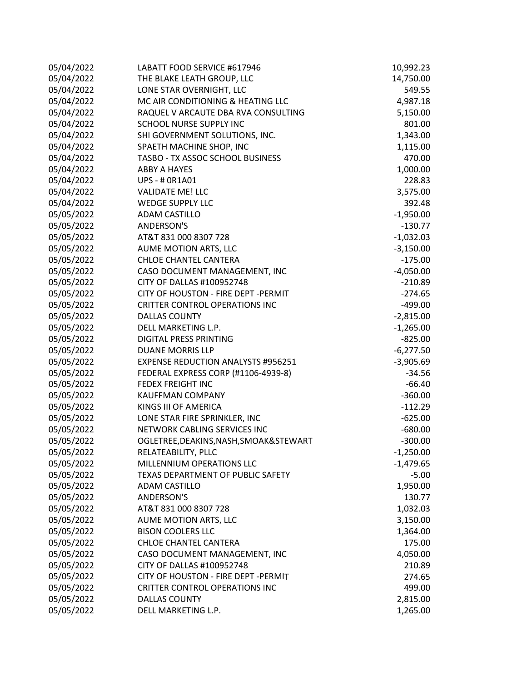| 05/04/2022 | LABATT FOOD SERVICE #617946               | 10,992.23   |
|------------|-------------------------------------------|-------------|
| 05/04/2022 | THE BLAKE LEATH GROUP, LLC                | 14,750.00   |
| 05/04/2022 | LONE STAR OVERNIGHT, LLC                  | 549.55      |
| 05/04/2022 | MC AIR CONDITIONING & HEATING LLC         | 4,987.18    |
| 05/04/2022 | RAQUEL V ARCAUTE DBA RVA CONSULTING       | 5,150.00    |
| 05/04/2022 | SCHOOL NURSE SUPPLY INC                   | 801.00      |
| 05/04/2022 | SHI GOVERNMENT SOLUTIONS, INC.            | 1,343.00    |
| 05/04/2022 | SPAETH MACHINE SHOP, INC                  | 1,115.00    |
| 05/04/2022 | TASBO - TX ASSOC SCHOOL BUSINESS          | 470.00      |
| 05/04/2022 | <b>ABBY A HAYES</b>                       | 1,000.00    |
| 05/04/2022 | <b>UPS - # 0R1A01</b>                     | 228.83      |
| 05/04/2022 | <b>VALIDATE ME! LLC</b>                   | 3,575.00    |
| 05/04/2022 | <b>WEDGE SUPPLY LLC</b>                   | 392.48      |
| 05/05/2022 | <b>ADAM CASTILLO</b>                      | $-1,950.00$ |
| 05/05/2022 | <b>ANDERSON'S</b>                         | $-130.77$   |
| 05/05/2022 | AT&T 831 000 8307 728                     | $-1,032.03$ |
| 05/05/2022 | AUME MOTION ARTS, LLC                     | $-3,150.00$ |
| 05/05/2022 | CHLOE CHANTEL CANTERA                     | $-175.00$   |
| 05/05/2022 | CASO DOCUMENT MANAGEMENT, INC             | $-4,050.00$ |
| 05/05/2022 | CITY OF DALLAS #100952748                 | $-210.89$   |
| 05/05/2022 | CITY OF HOUSTON - FIRE DEPT - PERMIT      | $-274.65$   |
| 05/05/2022 | <b>CRITTER CONTROL OPERATIONS INC</b>     | $-499.00$   |
| 05/05/2022 | <b>DALLAS COUNTY</b>                      | $-2,815.00$ |
| 05/05/2022 | DELL MARKETING L.P.                       | $-1,265.00$ |
| 05/05/2022 | <b>DIGITAL PRESS PRINTING</b>             | $-825.00$   |
| 05/05/2022 | <b>DUANE MORRIS LLP</b>                   | $-6,277.50$ |
| 05/05/2022 | <b>EXPENSE REDUCTION ANALYSTS #956251</b> | $-3,905.69$ |
| 05/05/2022 | FEDERAL EXPRESS CORP (#1106-4939-8)       | $-34.56$    |
| 05/05/2022 | <b>FEDEX FREIGHT INC</b>                  | $-66.40$    |
| 05/05/2022 | <b>KAUFFMAN COMPANY</b>                   | $-360.00$   |
| 05/05/2022 | KINGS III OF AMERICA                      | $-112.29$   |
| 05/05/2022 | LONE STAR FIRE SPRINKLER, INC             | $-625.00$   |
| 05/05/2022 | NETWORK CABLING SERVICES INC              | $-680.00$   |
| 05/05/2022 | OGLETREE, DEAKINS, NASH, SMOAK& STEWART   | $-300.00$   |
| 05/05/2022 | RELATEABILITY, PLLC                       | $-1,250.00$ |
| 05/05/2022 | MILLENNIUM OPERATIONS LLC                 | $-1,479.65$ |
| 05/05/2022 | TEXAS DEPARTMENT OF PUBLIC SAFETY         | $-5.00$     |
| 05/05/2022 | <b>ADAM CASTILLO</b>                      | 1,950.00    |
| 05/05/2022 | <b>ANDERSON'S</b>                         | 130.77      |
| 05/05/2022 | AT&T 831 000 8307 728                     | 1,032.03    |
| 05/05/2022 | AUME MOTION ARTS, LLC                     | 3,150.00    |
| 05/05/2022 | <b>BISON COOLERS LLC</b>                  | 1,364.00    |
| 05/05/2022 | CHLOE CHANTEL CANTERA                     | 175.00      |
| 05/05/2022 | CASO DOCUMENT MANAGEMENT, INC             | 4,050.00    |
| 05/05/2022 | CITY OF DALLAS #100952748                 | 210.89      |
| 05/05/2022 | CITY OF HOUSTON - FIRE DEPT - PERMIT      | 274.65      |
| 05/05/2022 | <b>CRITTER CONTROL OPERATIONS INC</b>     | 499.00      |
| 05/05/2022 | <b>DALLAS COUNTY</b>                      | 2,815.00    |
| 05/05/2022 | DELL MARKETING L.P.                       | 1,265.00    |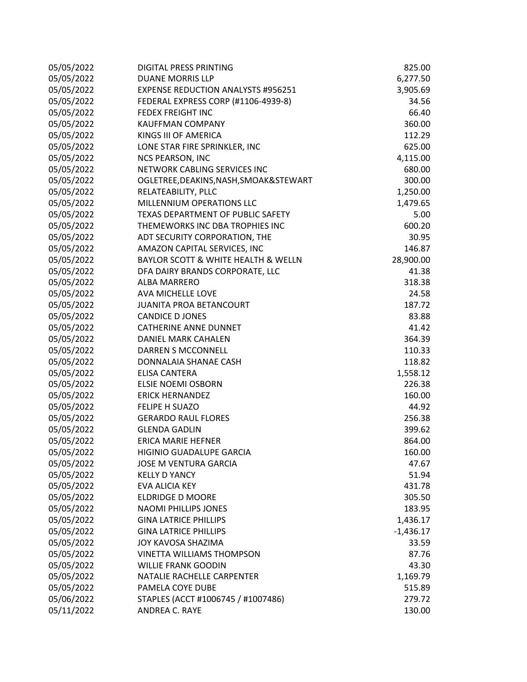| 05/05/2022 | DIGITAL PRESS PRINTING                    | 825.00      |
|------------|-------------------------------------------|-------------|
| 05/05/2022 | <b>DUANE MORRIS LLP</b>                   | 6,277.50    |
| 05/05/2022 | <b>EXPENSE REDUCTION ANALYSTS #956251</b> | 3,905.69    |
| 05/05/2022 | FEDERAL EXPRESS CORP (#1106-4939-8)       | 34.56       |
| 05/05/2022 | <b>FEDEX FREIGHT INC</b>                  | 66.40       |
| 05/05/2022 | <b>KAUFFMAN COMPANY</b>                   | 360.00      |
| 05/05/2022 | KINGS III OF AMERICA                      | 112.29      |
| 05/05/2022 | LONE STAR FIRE SPRINKLER, INC             | 625.00      |
| 05/05/2022 | <b>NCS PEARSON, INC</b>                   | 4,115.00    |
| 05/05/2022 | NETWORK CABLING SERVICES INC              | 680.00      |
| 05/05/2022 | OGLETREE, DEAKINS, NASH, SMOAK& STEWART   | 300.00      |
| 05/05/2022 | RELATEABILITY, PLLC                       | 1,250.00    |
| 05/05/2022 | MILLENNIUM OPERATIONS LLC                 | 1,479.65    |
| 05/05/2022 | TEXAS DEPARTMENT OF PUBLIC SAFETY         | 5.00        |
| 05/05/2022 | THEMEWORKS INC DBA TROPHIES INC           | 600.20      |
| 05/05/2022 | ADT SECURITY CORPORATION, THE             | 30.95       |
| 05/05/2022 | AMAZON CAPITAL SERVICES, INC              | 146.87      |
| 05/05/2022 | BAYLOR SCOTT & WHITE HEALTH & WELLN       | 28,900.00   |
| 05/05/2022 | DFA DAIRY BRANDS CORPORATE, LLC           | 41.38       |
| 05/05/2022 | <b>ALBA MARRERO</b>                       | 318.38      |
| 05/05/2022 | AVA MICHELLE LOVE                         | 24.58       |
| 05/05/2022 | JUANITA PROA BETANCOURT                   | 187.72      |
| 05/05/2022 | <b>CANDICE D JONES</b>                    | 83.88       |
| 05/05/2022 | <b>CATHERINE ANNE DUNNET</b>              | 41.42       |
| 05/05/2022 | DANIEL MARK CAHALEN                       | 364.39      |
| 05/05/2022 | DARREN S MCCONNELL                        | 110.33      |
| 05/05/2022 | DONNALAIA SHANAE CASH                     | 118.82      |
| 05/05/2022 | ELISA CANTERA                             | 1,558.12    |
| 05/05/2022 | <b>ELSIE NOEMI OSBORN</b>                 | 226.38      |
| 05/05/2022 | <b>ERICK HERNANDEZ</b>                    | 160.00      |
| 05/05/2022 | FELIPE H SUAZO                            | 44.92       |
| 05/05/2022 | <b>GERARDO RAUL FLORES</b>                | 256.38      |
| 05/05/2022 | <b>GLENDA GADLIN</b>                      | 399.62      |
| 05/05/2022 | <b>ERICA MARIE HEFNER</b>                 | 864.00      |
| 05/05/2022 | HIGINIO GUADALUPE GARCIA                  | 160.00      |
| 05/05/2022 | <b>JOSE M VENTURA GARCIA</b>              | 47.67       |
| 05/05/2022 | <b>KELLY D YANCY</b>                      | 51.94       |
| 05/05/2022 | EVA ALICIA KEY                            | 431.78      |
| 05/05/2022 | <b>ELDRIDGE D MOORE</b>                   | 305.50      |
| 05/05/2022 | <b>NAOMI PHILLIPS JONES</b>               | 183.95      |
| 05/05/2022 | <b>GINA LATRICE PHILLIPS</b>              | 1,436.17    |
| 05/05/2022 | <b>GINA LATRICE PHILLIPS</b>              | $-1,436.17$ |
| 05/05/2022 | JOY KAVOSA SHAZIMA                        | 33.59       |
| 05/05/2022 | <b>VINETTA WILLIAMS THOMPSON</b>          | 87.76       |
| 05/05/2022 | <b>WILLIE FRANK GOODIN</b>                | 43.30       |
| 05/05/2022 | NATALIE RACHELLE CARPENTER                | 1,169.79    |
| 05/05/2022 | PAMELA COYE DUBE                          | 515.89      |
| 05/06/2022 | STAPLES (ACCT #1006745 / #1007486)        | 279.72      |
| 05/11/2022 | ANDREA C. RAYE                            | 130.00      |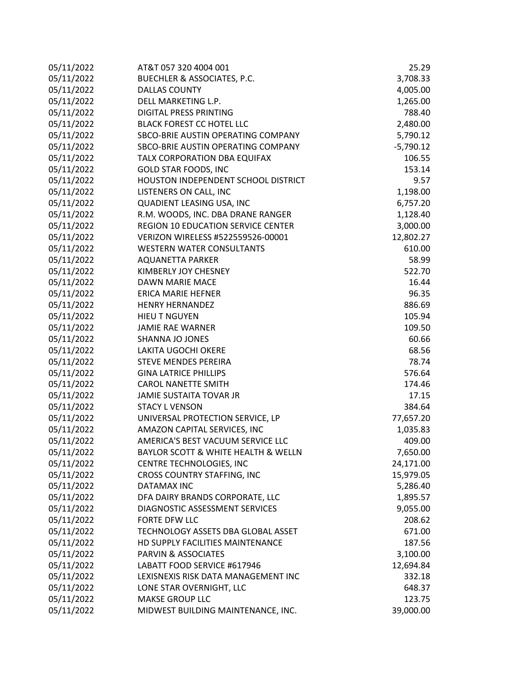| 05/11/2022 | AT&T 057 320 4004 001               | 25.29       |
|------------|-------------------------------------|-------------|
| 05/11/2022 | BUECHLER & ASSOCIATES, P.C.         | 3,708.33    |
| 05/11/2022 | <b>DALLAS COUNTY</b>                | 4,005.00    |
| 05/11/2022 | DELL MARKETING L.P.                 | 1,265.00    |
| 05/11/2022 | <b>DIGITAL PRESS PRINTING</b>       | 788.40      |
| 05/11/2022 | <b>BLACK FOREST CC HOTEL LLC</b>    | 2,480.00    |
| 05/11/2022 | SBCO-BRIE AUSTIN OPERATING COMPANY  | 5,790.12    |
| 05/11/2022 | SBCO-BRIE AUSTIN OPERATING COMPANY  | $-5,790.12$ |
| 05/11/2022 | TALX CORPORATION DBA EQUIFAX        | 106.55      |
| 05/11/2022 | <b>GOLD STAR FOODS, INC</b>         | 153.14      |
| 05/11/2022 | HOUSTON INDEPENDENT SCHOOL DISTRICT | 9.57        |
| 05/11/2022 | LISTENERS ON CALL, INC              | 1,198.00    |
| 05/11/2022 | QUADIENT LEASING USA, INC           | 6,757.20    |
| 05/11/2022 | R.M. WOODS, INC. DBA DRANE RANGER   | 1,128.40    |
| 05/11/2022 | REGION 10 EDUCATION SERVICE CENTER  | 3,000.00    |
| 05/11/2022 | VERIZON WIRELESS #522559526-00001   | 12,802.27   |
| 05/11/2022 | <b>WESTERN WATER CONSULTANTS</b>    | 610.00      |
| 05/11/2022 | <b>AQUANETTA PARKER</b>             | 58.99       |
| 05/11/2022 | KIMBERLY JOY CHESNEY                | 522.70      |
| 05/11/2022 | DAWN MARIE MACE                     | 16.44       |
| 05/11/2022 | <b>ERICA MARIE HEFNER</b>           | 96.35       |
| 05/11/2022 | <b>HENRY HERNANDEZ</b>              | 886.69      |
| 05/11/2022 | <b>HIEU T NGUYEN</b>                | 105.94      |
| 05/11/2022 | <b>JAMIE RAE WARNER</b>             | 109.50      |
| 05/11/2022 | SHANNA JO JONES                     | 60.66       |
| 05/11/2022 | LAKITA UGOCHI OKERE                 | 68.56       |
| 05/11/2022 | <b>STEVE MENDES PEREIRA</b>         | 78.74       |
| 05/11/2022 | <b>GINA LATRICE PHILLIPS</b>        | 576.64      |
| 05/11/2022 | <b>CAROL NANETTE SMITH</b>          | 174.46      |
| 05/11/2022 | JAMIE SUSTAITA TOVAR JR             | 17.15       |
| 05/11/2022 | <b>STACY L VENSON</b>               | 384.64      |
| 05/11/2022 | UNIVERSAL PROTECTION SERVICE, LP    | 77,657.20   |
| 05/11/2022 | AMAZON CAPITAL SERVICES, INC        | 1,035.83    |
| 05/11/2022 | AMERICA'S BEST VACUUM SERVICE LLC   | 409.00      |
| 05/11/2022 | BAYLOR SCOTT & WHITE HEALTH & WELLN | 7,650.00    |
| 05/11/2022 | CENTRE TECHNOLOGIES, INC            | 24,171.00   |
| 05/11/2022 | <b>CROSS COUNTRY STAFFING, INC</b>  | 15,979.05   |
| 05/11/2022 | DATAMAX INC                         | 5,286.40    |
| 05/11/2022 | DFA DAIRY BRANDS CORPORATE, LLC     | 1,895.57    |
| 05/11/2022 | DIAGNOSTIC ASSESSMENT SERVICES      | 9,055.00    |
| 05/11/2022 | FORTE DFW LLC                       | 208.62      |
| 05/11/2022 | TECHNOLOGY ASSETS DBA GLOBAL ASSET  | 671.00      |
| 05/11/2022 | HD SUPPLY FACILITIES MAINTENANCE    | 187.56      |
| 05/11/2022 | PARVIN & ASSOCIATES                 | 3,100.00    |
| 05/11/2022 | LABATT FOOD SERVICE #617946         | 12,694.84   |
| 05/11/2022 | LEXISNEXIS RISK DATA MANAGEMENT INC | 332.18      |
| 05/11/2022 | LONE STAR OVERNIGHT, LLC            | 648.37      |
| 05/11/2022 | <b>MAKSE GROUP LLC</b>              | 123.75      |
| 05/11/2022 | MIDWEST BUILDING MAINTENANCE, INC.  | 39,000.00   |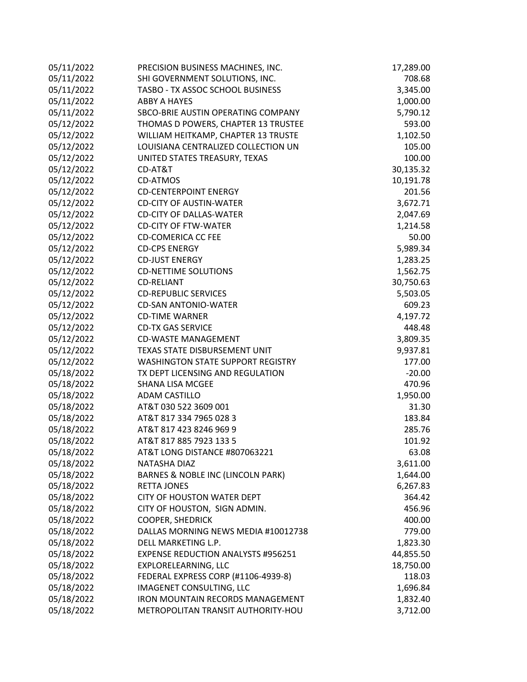| 05/11/2022 | PRECISION BUSINESS MACHINES, INC.         | 17,289.00 |
|------------|-------------------------------------------|-----------|
| 05/11/2022 | SHI GOVERNMENT SOLUTIONS, INC.            | 708.68    |
| 05/11/2022 | TASBO - TX ASSOC SCHOOL BUSINESS          | 3,345.00  |
| 05/11/2022 | <b>ABBY A HAYES</b>                       | 1,000.00  |
| 05/11/2022 | SBCO-BRIE AUSTIN OPERATING COMPANY        | 5,790.12  |
| 05/12/2022 | THOMAS D POWERS, CHAPTER 13 TRUSTEE       | 593.00    |
| 05/12/2022 | WILLIAM HEITKAMP, CHAPTER 13 TRUSTE       | 1,102.50  |
| 05/12/2022 | LOUISIANA CENTRALIZED COLLECTION UN       | 105.00    |
| 05/12/2022 | UNITED STATES TREASURY, TEXAS             | 100.00    |
| 05/12/2022 | CD-AT&T                                   | 30,135.32 |
| 05/12/2022 | <b>CD-ATMOS</b>                           | 10,191.78 |
| 05/12/2022 | <b>CD-CENTERPOINT ENERGY</b>              | 201.56    |
| 05/12/2022 | <b>CD-CITY OF AUSTIN-WATER</b>            | 3,672.71  |
| 05/12/2022 | <b>CD-CITY OF DALLAS-WATER</b>            | 2,047.69  |
| 05/12/2022 | <b>CD-CITY OF FTW-WATER</b>               | 1,214.58  |
| 05/12/2022 | <b>CD-COMERICA CC FEE</b>                 | 50.00     |
| 05/12/2022 | <b>CD-CPS ENERGY</b>                      | 5,989.34  |
| 05/12/2022 | <b>CD-JUST ENERGY</b>                     | 1,283.25  |
| 05/12/2022 | <b>CD-NETTIME SOLUTIONS</b>               | 1,562.75  |
| 05/12/2022 | <b>CD-RELIANT</b>                         | 30,750.63 |
| 05/12/2022 | <b>CD-REPUBLIC SERVICES</b>               | 5,503.05  |
| 05/12/2022 | <b>CD-SAN ANTONIO-WATER</b>               | 609.23    |
| 05/12/2022 | <b>CD-TIME WARNER</b>                     | 4,197.72  |
| 05/12/2022 | <b>CD-TX GAS SERVICE</b>                  | 448.48    |
| 05/12/2022 | <b>CD-WASTE MANAGEMENT</b>                | 3,809.35  |
| 05/12/2022 | TEXAS STATE DISBURSEMENT UNIT             | 9,937.81  |
| 05/12/2022 | <b>WASHINGTON STATE SUPPORT REGISTRY</b>  | 177.00    |
| 05/18/2022 | TX DEPT LICENSING AND REGULATION          | $-20.00$  |
| 05/18/2022 | SHANA LISA MCGEE                          | 470.96    |
| 05/18/2022 | <b>ADAM CASTILLO</b>                      | 1,950.00  |
| 05/18/2022 | AT&T 030 522 3609 001                     | 31.30     |
| 05/18/2022 | AT&T 817 334 7965 028 3                   | 183.84    |
| 05/18/2022 | AT&T 817 423 8246 969 9                   | 285.76    |
| 05/18/2022 | AT&T 817 885 7923 133 5                   | 101.92    |
| 05/18/2022 | AT&T LONG DISTANCE #807063221             | 63.08     |
| 05/18/2022 | <b>NATASHA DIAZ</b>                       | 3,611.00  |
| 05/18/2022 | BARNES & NOBLE INC (LINCOLN PARK)         | 1,644.00  |
| 05/18/2022 | <b>RETTA JONES</b>                        | 6,267.83  |
| 05/18/2022 | <b>CITY OF HOUSTON WATER DEPT</b>         | 364.42    |
| 05/18/2022 | CITY OF HOUSTON, SIGN ADMIN.              | 456.96    |
| 05/18/2022 | <b>COOPER, SHEDRICK</b>                   | 400.00    |
| 05/18/2022 | DALLAS MORNING NEWS MEDIA #10012738       | 779.00    |
| 05/18/2022 | DELL MARKETING L.P.                       | 1,823.30  |
| 05/18/2022 | <b>EXPENSE REDUCTION ANALYSTS #956251</b> | 44,855.50 |
| 05/18/2022 | EXPLORELEARNING, LLC                      | 18,750.00 |
| 05/18/2022 | FEDERAL EXPRESS CORP (#1106-4939-8)       | 118.03    |
| 05/18/2022 | IMAGENET CONSULTING, LLC                  | 1,696.84  |
| 05/18/2022 | <b>IRON MOUNTAIN RECORDS MANAGEMENT</b>   | 1,832.40  |
| 05/18/2022 | METROPOLITAN TRANSIT AUTHORITY-HOU        | 3,712.00  |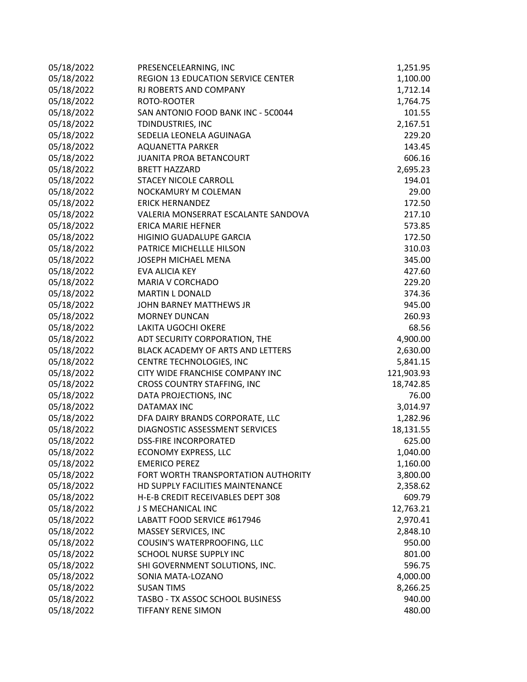| 05/18/2022 | PRESENCELEARNING, INC               | 1,251.95   |
|------------|-------------------------------------|------------|
| 05/18/2022 | REGION 13 EDUCATION SERVICE CENTER  | 1,100.00   |
| 05/18/2022 | RJ ROBERTS AND COMPANY              | 1,712.14   |
| 05/18/2022 | ROTO-ROOTER                         | 1,764.75   |
| 05/18/2022 | SAN ANTONIO FOOD BANK INC - 5C0044  | 101.55     |
| 05/18/2022 | TDINDUSTRIES, INC                   | 2,167.51   |
| 05/18/2022 | SEDELIA LEONELA AGUINAGA            | 229.20     |
| 05/18/2022 | <b>AQUANETTA PARKER</b>             | 143.45     |
| 05/18/2022 | JUANITA PROA BETANCOURT             | 606.16     |
| 05/18/2022 | <b>BRETT HAZZARD</b>                | 2,695.23   |
| 05/18/2022 | <b>STACEY NICOLE CARROLL</b>        | 194.01     |
| 05/18/2022 | NOCKAMURY M COLEMAN                 | 29.00      |
| 05/18/2022 | <b>ERICK HERNANDEZ</b>              | 172.50     |
| 05/18/2022 | VALERIA MONSERRAT ESCALANTE SANDOVA | 217.10     |
| 05/18/2022 | ERICA MARIE HEFNER                  | 573.85     |
| 05/18/2022 | HIGINIO GUADALUPE GARCIA            | 172.50     |
| 05/18/2022 | PATRICE MICHELLLE HILSON            | 310.03     |
| 05/18/2022 | <b>JOSEPH MICHAEL MENA</b>          | 345.00     |
| 05/18/2022 | EVA ALICIA KEY                      | 427.60     |
| 05/18/2022 | <b>MARIA V CORCHADO</b>             | 229.20     |
| 05/18/2022 | <b>MARTIN L DONALD</b>              | 374.36     |
| 05/18/2022 | JOHN BARNEY MATTHEWS JR             | 945.00     |
| 05/18/2022 | <b>MORNEY DUNCAN</b>                | 260.93     |
| 05/18/2022 | <b>LAKITA UGOCHI OKERE</b>          | 68.56      |
| 05/18/2022 | ADT SECURITY CORPORATION, THE       | 4,900.00   |
| 05/18/2022 | BLACK ACADEMY OF ARTS AND LETTERS   | 2,630.00   |
| 05/18/2022 | CENTRE TECHNOLOGIES, INC            | 5,841.15   |
| 05/18/2022 | CITY WIDE FRANCHISE COMPANY INC     | 121,903.93 |
| 05/18/2022 | CROSS COUNTRY STAFFING, INC         | 18,742.85  |
| 05/18/2022 | DATA PROJECTIONS, INC               | 76.00      |
| 05/18/2022 | DATAMAX INC                         | 3,014.97   |
| 05/18/2022 | DFA DAIRY BRANDS CORPORATE, LLC     | 1,282.96   |
| 05/18/2022 | DIAGNOSTIC ASSESSMENT SERVICES      | 18,131.55  |
| 05/18/2022 | <b>DSS-FIRE INCORPORATED</b>        | 625.00     |
| 05/18/2022 | ECONOMY EXPRESS, LLC                | 1,040.00   |
| 05/18/2022 | <b>EMERICO PEREZ</b>                | 1,160.00   |
| 05/18/2022 | FORT WORTH TRANSPORTATION AUTHORITY | 3,800.00   |
| 05/18/2022 | HD SUPPLY FACILITIES MAINTENANCE    | 2,358.62   |
| 05/18/2022 | H-E-B CREDIT RECEIVABLES DEPT 308   | 609.79     |
| 05/18/2022 | J S MECHANICAL INC                  | 12,763.21  |
| 05/18/2022 | LABATT FOOD SERVICE #617946         | 2,970.41   |
| 05/18/2022 | MASSEY SERVICES, INC                | 2,848.10   |
| 05/18/2022 | COUSIN'S WATERPROOFING, LLC         | 950.00     |
| 05/18/2022 | <b>SCHOOL NURSE SUPPLY INC</b>      | 801.00     |
| 05/18/2022 | SHI GOVERNMENT SOLUTIONS, INC.      | 596.75     |
| 05/18/2022 | SONIA MATA-LOZANO                   | 4,000.00   |
| 05/18/2022 | <b>SUSAN TIMS</b>                   | 8,266.25   |
| 05/18/2022 | TASBO - TX ASSOC SCHOOL BUSINESS    | 940.00     |
| 05/18/2022 | <b>TIFFANY RENE SIMON</b>           | 480.00     |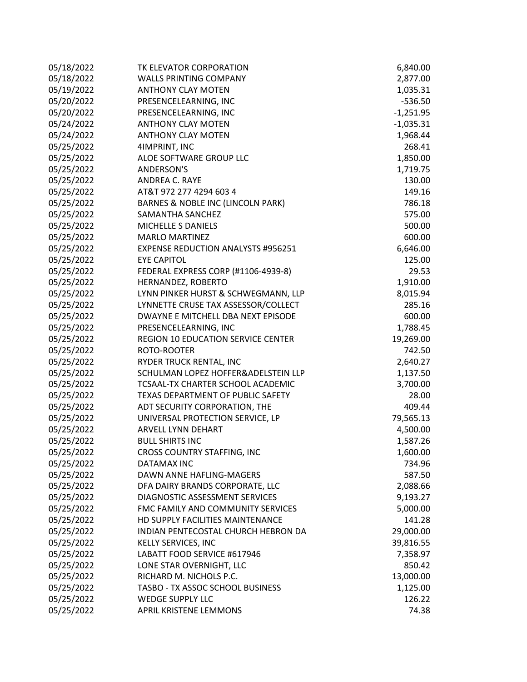| 05/18/2022 | TK ELEVATOR CORPORATION                   | 6,840.00    |
|------------|-------------------------------------------|-------------|
| 05/18/2022 | <b>WALLS PRINTING COMPANY</b>             | 2,877.00    |
| 05/19/2022 | <b>ANTHONY CLAY MOTEN</b>                 | 1,035.31    |
| 05/20/2022 | PRESENCELEARNING, INC                     | $-536.50$   |
| 05/20/2022 | PRESENCELEARNING, INC                     | $-1,251.95$ |
| 05/24/2022 | <b>ANTHONY CLAY MOTEN</b>                 | $-1,035.31$ |
| 05/24/2022 | <b>ANTHONY CLAY MOTEN</b>                 | 1,968.44    |
| 05/25/2022 | 4IMPRINT, INC                             | 268.41      |
| 05/25/2022 | ALOE SOFTWARE GROUP LLC                   | 1,850.00    |
| 05/25/2022 | <b>ANDERSON'S</b>                         | 1,719.75    |
| 05/25/2022 | ANDREA C. RAYE                            | 130.00      |
| 05/25/2022 | AT&T 972 277 4294 603 4                   | 149.16      |
| 05/25/2022 | BARNES & NOBLE INC (LINCOLN PARK)         | 786.18      |
| 05/25/2022 | SAMANTHA SANCHEZ                          | 575.00      |
| 05/25/2022 | MICHELLE S DANIELS                        | 500.00      |
| 05/25/2022 | <b>MARLO MARTINEZ</b>                     | 600.00      |
| 05/25/2022 | <b>EXPENSE REDUCTION ANALYSTS #956251</b> | 6,646.00    |
| 05/25/2022 | <b>EYE CAPITOL</b>                        | 125.00      |
| 05/25/2022 | FEDERAL EXPRESS CORP (#1106-4939-8)       | 29.53       |
| 05/25/2022 | HERNANDEZ, ROBERTO                        | 1,910.00    |
| 05/25/2022 | LYNN PINKER HURST & SCHWEGMANN, LLP       | 8,015.94    |
| 05/25/2022 | LYNNETTE CRUSE TAX ASSESSOR/COLLECT       | 285.16      |
| 05/25/2022 | DWAYNE E MITCHELL DBA NEXT EPISODE        | 600.00      |
| 05/25/2022 | PRESENCELEARNING, INC                     | 1,788.45    |
| 05/25/2022 | REGION 10 EDUCATION SERVICE CENTER        | 19,269.00   |
| 05/25/2022 | ROTO-ROOTER                               | 742.50      |
| 05/25/2022 | RYDER TRUCK RENTAL, INC                   | 2,640.27    |
| 05/25/2022 | SCHULMAN LOPEZ HOFFER&ADELSTEIN LLP       | 1,137.50    |
| 05/25/2022 | TCSAAL-TX CHARTER SCHOOL ACADEMIC         | 3,700.00    |
| 05/25/2022 | TEXAS DEPARTMENT OF PUBLIC SAFETY         | 28.00       |
| 05/25/2022 | ADT SECURITY CORPORATION, THE             | 409.44      |
| 05/25/2022 | UNIVERSAL PROTECTION SERVICE, LP          | 79,565.13   |
| 05/25/2022 | ARVELL LYNN DEHART                        | 4,500.00    |
| 05/25/2022 | <b>BULL SHIRTS INC</b>                    | 1,587.26    |
| 05/25/2022 | <b>CROSS COUNTRY STAFFING, INC</b>        | 1,600.00    |
| 05/25/2022 | <b>DATAMAX INC</b>                        | 734.96      |
| 05/25/2022 | DAWN ANNE HAFLING-MAGERS                  | 587.50      |
| 05/25/2022 | DFA DAIRY BRANDS CORPORATE, LLC           | 2,088.66    |
| 05/25/2022 | DIAGNOSTIC ASSESSMENT SERVICES            | 9,193.27    |
| 05/25/2022 | FMC FAMILY AND COMMUNITY SERVICES         | 5,000.00    |
| 05/25/2022 | HD SUPPLY FACILITIES MAINTENANCE          | 141.28      |
| 05/25/2022 | INDIAN PENTECOSTAL CHURCH HEBRON DA       | 29,000.00   |
| 05/25/2022 | <b>KELLY SERVICES, INC</b>                | 39,816.55   |
| 05/25/2022 | LABATT FOOD SERVICE #617946               | 7,358.97    |
| 05/25/2022 | LONE STAR OVERNIGHT, LLC                  | 850.42      |
| 05/25/2022 | RICHARD M. NICHOLS P.C.                   | 13,000.00   |
| 05/25/2022 | TASBO - TX ASSOC SCHOOL BUSINESS          | 1,125.00    |
| 05/25/2022 | <b>WEDGE SUPPLY LLC</b>                   | 126.22      |
| 05/25/2022 | APRIL KRISTENE LEMMONS                    | 74.38       |